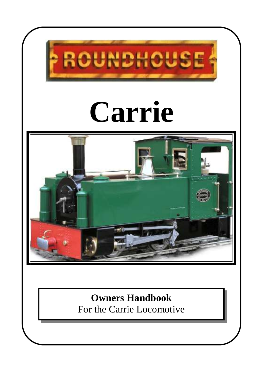

**Owners Handbook** For the Carrie Locomotive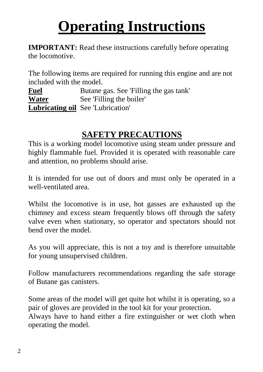# **Operating Instructions**

**IMPORTANT:** Read these instructions carefully before operating the locomotive.

The following items are required for running this engine and are not included with the model.

**Fuel** Butane gas. See 'Filling the gas tank' **Water** See 'Filling the boiler' **Lubricating oil** See 'Lubrication'

## **SAFETY PRECAUTIONS**

This is a working model locomotive using steam under pressure and highly flammable fuel. Provided it is operated with reasonable care and attention, no problems should arise.

It is intended for use out of doors and must only be operated in a well-ventilated area.

Whilst the locomotive is in use, hot gasses are exhausted up the chimney and excess steam frequently blows off through the safety valve even when stationary, so operator and spectators should not bend over the model.

As you will appreciate, this is not a toy and is therefore unsuitable for young unsupervised children.

Follow manufacturers recommendations regarding the safe storage of Butane gas canisters.

Some areas of the model will get quite hot whilst it is operating, so a pair of gloves are provided in the tool kit for your protection. Always have to hand either a fire extinguisher or wet cloth when operating the model.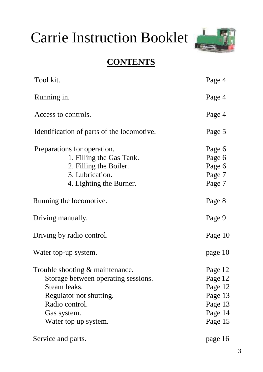# Carrie Instruction Booklet



#### **CONTENTS**

| Tool kit.                                               | Page 4           |
|---------------------------------------------------------|------------------|
| Running in.                                             | Page 4           |
| Access to controls.                                     | Page 4           |
| Identification of parts of the locomotive.              | Page 5           |
| Preparations for operation.<br>1. Filling the Gas Tank. | Page 6<br>Page 6 |
| 2. Filling the Boiler.                                  | Page 6           |
| 3. Lubrication.                                         | Page 7           |
| 4. Lighting the Burner.                                 | Page 7           |
| Running the locomotive.                                 | Page 8           |
| Driving manually.                                       | Page 9           |
| Driving by radio control.                               | Page 10          |
| Water top-up system.                                    | page 10          |
| Trouble shooting $&$ maintenance.                       | Page 12          |
| Storage between operating sessions.                     | Page 12          |
| Steam leaks.                                            | Page 12          |
| Regulator not shutting.                                 | Page 13          |
| Radio control.                                          | Page 13          |
| Gas system.                                             | Page 14          |
| Water top up system.                                    | Page 15          |
| Service and parts.                                      | page 16          |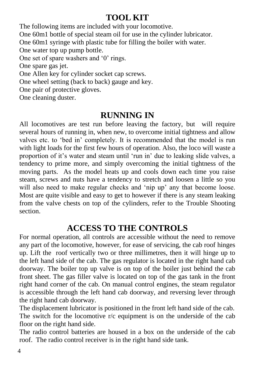#### **TOOL KIT**

The following items are included with your locomotive. One 60m1 bottle of special steam oil for use in the cylinder lubricator. One 60m1 syringe with plastic tube for filling the boiler with water. One water top up pump bottle. One set of spare washers and '0' rings. One spare gas jet. One Allen key for cylinder socket cap screws. One wheel setting (back to back) gauge and key. One pair of protective gloves. One cleaning duster.

#### **RUNNING IN**

All locomotives are test run before leaving the factory, but will require several hours of running in, when new, to overcome initial tightness and allow valves etc. to 'bed in' completely. It is recommended that the model is run with light loads for the first few hours of operation. Also, the loco will waste a proportion of it's water and steam until 'run in' due to leaking slide valves, a tendency to prime more, and simply overcoming the initial tightness of the moving parts. As the model heats up and cools down each time you raise steam, screws and nuts have a tendency to stretch and loosen a little so you will also need to make regular checks and 'nip up' any that become loose. Most are quite visible and easy to get to however if there is any steam leaking from the valve chests on top of the cylinders, refer to the Trouble Shooting section.

#### **ACCESS TO THE CONTROLS**

For normal operation, all controls are accessible without the need to remove any part of the locomotive, however, for ease of servicing, the cab roof hinges up. Lift the roof vertically two or three millimetres, then it will hinge up to the left hand side of the cab. The gas regulator is located in the right hand cab doorway. The boiler top up valve is on top of the boiler just behind the cab front sheet. The gas filler valve is located on top of the gas tank in the front right hand corner of the cab. On manual control engines, the steam regulator is accessible through the left hand cab doorway, and reversing lever through the right hand cab doorway.

The displacement lubricator is positioned in the front left hand side of the cab. The switch for the locomotive  $r/c$  equipment is on the underside of the cab floor on the right hand side.

The radio control batteries are housed in a box on the underside of the cab roof. The radio control receiver is in the right hand side tank.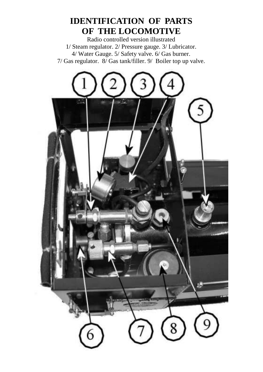#### **IDENTIFICATION OF PARTS OF THE LOCOMOTIVE**

Radio controlled version illustrated 1/ Steam regulator. 2/ Pressure gauge. 3/ Lubricator. 4/ Water Gauge. 5/ Safety valve. 6/ Gas burner. 7/ Gas regulator. 8/ Gas tank/filler. 9/ Boiler top up valve.

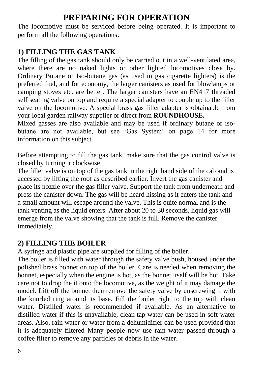#### **PREPARING FOR OPERATION**

The locomotive must be serviced before being operated. It is important to perform all the following operations.

#### **1) FILLING THE GAS TANK**

The filling of the gas tank should only be carried out in a well-ventilated area, where there are no naked lights or other lighted locomotives close by. Ordinary Butane or Iso-butane gas (as used in gas cigarette lighters) is the preferred fuel, and for economy, the larger canisters as used for blowlamps or camping stoves etc. are better. The larger canisters have an EN417 threaded self sealing valve on top and require a special adapter to couple up to the filler valve on the locomotive. A special brass gas filler adapter is obtainable from your local garden railway supplier or direct from **ROUNDHOUSE.**

Mixed gasses are also available and may be used if ordinary butane or isobutane are not available, but see 'Gas System' on page 14 for more information on this subject.

Before attempting to fill the gas tank, make sure that the gas control valve is closed by turning it clockwise.

The filler valve is on top of the gas tank in the right hand side of the cab and is accessed by lifting the roof as described earlier. Invert the gas canister and place its nozzle over the gas filler valve. Support the tank from underneath and press the canister down. The gas will be heard hissing as it enters the tank and a small amount will escape around the valve. This is quite normal and is the tank venting as the liquid enters. After about 20 to 30 seconds, liquid gas will emerge from the valve showing that the tank is full. Remove the canister immediately.

#### **2) FILLING THE BOILER**

A syringe and plastic pipe are supplied for filling of the boiler.

The boiler is filled with water through the safety valve bush, housed under the polished brass bonnet on top of the boiler. Care is needed when removing the bonnet, especially when the engine is hot, as the bonnet itself will be hot. Take care not to drop the it onto the locomotive, as the weight of it may damage the model. Lift off the bonnet then remove the safety valve by unscrewing it with the knurled ring around its base. Fill the boiler right to the top with clean water. Distilled water is recommended if available. As an alternative to distilled water if this is unavailable, clean tap water can be used in soft water areas. Also, rain water or water from a dehumidifier can be used provided that it is adequately filtered Many people now use rain water passed through a coffee filter to remove any particles or debris in the water.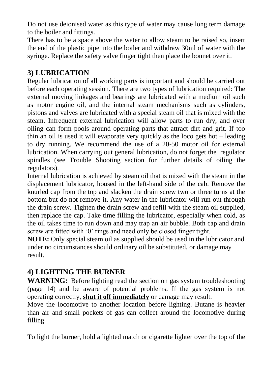Do not use deionised water as this type of water may cause long term damage to the boiler and fittings.

There has to be a space above the water to allow steam to be raised so, insert the end of the plastic pipe into the boiler and withdraw 30ml of water with the syringe. Replace the safety valve finger tight then place the bonnet over it.

#### **3) LUBRICATION**

Regular lubrication of all working parts is important and should be carried out before each operating session. There are two types of lubrication required: The external moving linkages and bearings are lubricated with a medium oil such as motor engine oil, and the internal steam mechanisms such as cylinders, pistons and valves are lubricated with a special steam oil that is mixed with the steam. Infrequent external lubrication will allow parts to run dry, and over oiling can form pools around operating parts that attract dirt and grit. If too thin an oil is used it will evaporate very quickly as the loco gets hot – leading to dry running. We recommend the use of a 20-50 motor oil for external lubrication. When carrying out general lubrication, do not forget the regulator spindles (see Trouble Shooting section for further details of oiling the regulators).

Internal lubrication is achieved by steam oil that is mixed with the steam in the displacement lubricator, housed in the left-hand side of the cab. Remove the knurled cap from the top and slacken the drain screw two or three turns at the bottom but do not remove it. Any water in the lubricator will run out through the drain screw. Tighten the drain screw and refill with the steam oil supplied, then replace the cap. Take time filling the lubricator, especially when cold, as the oil takes time to run down and may trap an air bubble. Both cap and drain screw are fitted with '0' rings and need only be closed finger tight.

**NOTE:** Only special steam oil as supplied should be used in the lubricator and under no circumstances should ordinary oil be substituted, or damage may result.

#### **4) LIGHTING THE BURNER**

**WARNING:** Before lighting read the section on gas system troubleshooting (page 14) and be aware of potential problems. If the gas system is not operating correctly, **shut it off immediately** or damage may result.

Move the locomotive to another location before lighting. Butane is heavier than air and small pockets of gas can collect around the locomotive during filling.

To light the burner, hold a lighted match or cigarette lighter over the top of the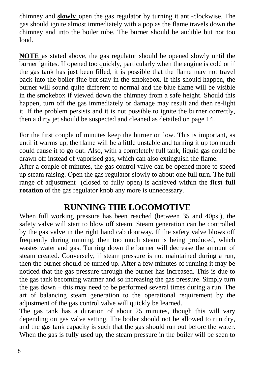chimney and **slowly** open the gas regulator by turning it anti-clockwise. The gas should ignite almost immediately with a pop as the flame travels down the chimney and into the boiler tube. The burner should be audible but not too loud.

**NOTE** as stated above, the gas regulator should be opened slowly until the burner ignites. If opened too quickly, particularly when the engine is cold or if the gas tank has just been filled, it is possible that the flame may not travel back into the boiler flue but stay in the smokebox. If this should happen, the burner will sound quite different to normal and the blue flame will be visible in the smokebox if viewed down the chimney from a safe height. Should this happen, turn off the gas immediately or damage may result and then re-light it. If the problem persists and it is not possible to ignite the burner correctly, then a dirty jet should be suspected and cleaned as detailed on page 14.

For the first couple of minutes keep the burner on low. This is important, as until it warms up, the flame will be a little unstable and turning it up too much could cause it to go out. Also, with a completely full tank, liquid gas could be drawn off instead of vaporised gas, which can also extinguish the flame.

After a couple of minutes, the gas control valve can be opened more to speed up steam raising. Open the gas regulator slowly to about one full turn. The full range of adjustment (closed to fully open) is achieved within the **first full rotation** of the gas regulator knob any more is unnecessary.

#### **RUNNING THE LOCOMOTIVE**

When full working pressure has been reached (between 35 and 40psi), the safety valve will start to blow off steam. Steam generation can be controlled by the gas valve in the right hand cab doorway. If the safety valve blows off frequently during running, then too much steam is being produced, which wastes water and gas. Turning down the burner will decrease the amount of steam created. Conversely, if steam pressure is not maintained during a run, then the burner should be turned up. After a few minutes of running it may be noticed that the gas pressure through the burner has increased. This is due to the gas tank becoming warmer and so increasing the gas pressure. Simply turn the gas down – this may need to be performed several times during a run. The art of balancing steam generation to the operational requirement by the adjustment of the gas control valve will quickly be learned.

The gas tank has a duration of about 25 minutes, though this will vary depending on gas valve setting. The boiler should not be allowed to run dry, and the gas tank capacity is such that the gas should run out before the water. When the gas is fully used up, the steam pressure in the boiler will be seen to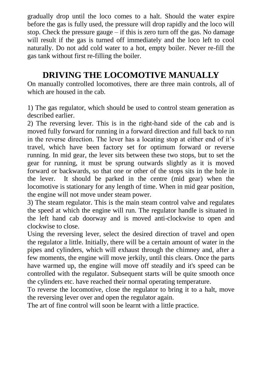gradually drop until the loco comes to a halt. Should the water expire before the gas is fully used, the pressure will drop rapidly and the loco will stop. Check the pressure gauge – if this is zero turn off the gas. No damage will result if the gas is turned off immediately and the loco left to cool naturally. Do not add cold water to a hot, empty boiler. Never re-fill the gas tank without first re-filling the boiler.

#### **DRIVING THE LOCOMOTIVE MANUALLY**

On manually controlled locomotives, there are three main controls, all of which are housed in the cab.

1) The gas regulator, which should be used to control steam generation as described earlier.

2) The reversing lever. This is in the right-hand side of the cab and is moved fully forward for running in a forward direction and full back to run in the reverse direction. The lever has a locating stop at either end of it's travel, which have been factory set for optimum forward or reverse running. In mid gear, the lever sits between these two stops, but to set the gear for running, it must be sprung outwards slightly as it is moved forward or backwards, so that one or other of the stops sits in the hole in the lever. It should be parked in the centre (mid gear) when the locomotive is stationary for any length of time. When in mid gear position, the engine will not move under steam power.

3) The steam regulator. This is the main steam control valve and regulates the speed at which the engine will run. The regulator handle is situated in the left hand cab doorway and is moved anti-clockwise to open and clockwise to close.

Using the reversing lever, select the desired direction of travel and open the regulator a little. Initially, there will be a certain amount of water in the pipes and cylinders, which will exhaust through the chimney and, after a few moments, the engine will move jerkily, until this clears. Once the parts have warmed up, the engine will move off steadily and it's speed can be controlled with the regulator. Subsequent starts will be quite smooth once the cylinders etc. have reached their normal operating temperature.

To reverse the locomotive, close the regulator to bring it to a halt, move the reversing lever over and open the regulator again.

The art of fine control will soon be learnt with a little practice.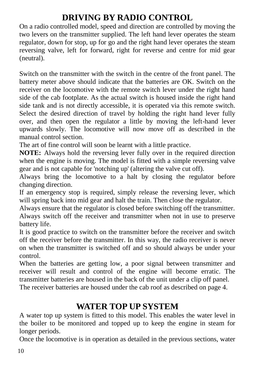#### **DRIVING BY RADIO CONTROL**

On a radio controlled model, speed and direction are controlled by moving the two levers on the transmitter supplied. The left hand lever operates the steam regulator, down for stop, up for go and the right hand lever operates the steam reversing valve, left for forward, right for reverse and centre for mid gear (neutral).

Switch on the transmitter with the switch in the centre of the front panel. The battery meter above should indicate that the batteries are OK. Switch on the receiver on the locomotive with the remote switch lever under the right hand side of the cab footplate. As the actual switch is housed inside the right hand side tank and is not directly accessible, it is operated via this remote switch. Select the desired direction of travel by holding the right hand lever fully over, and then open the regulator a little by moving the left-hand lever upwards slowly. The locomotive will now move off as described in the manual control section.

The art of fine control will soon be learnt with a little practice.

**NOTE:** Always hold the reversing lever fully over in the required direction when the engine is moving. The model is fitted with a simple reversing valve gear and is not capable for 'notching up' (altering the valve cut off).

Always bring the locomotive to a halt by closing the regulator before changing direction.

If an emergency stop is required, simply release the reversing lever, which will spring back into mid gear and halt the train. Then close the regulator.

Always ensure that the regulator is closed before switching off the transmitter. Always switch off the receiver and transmitter when not in use to preserve battery life.

It is good practice to switch on the transmitter before the receiver and switch off the receiver before the transmitter. In this way, the radio receiver is never on when the transmitter is switched off and so should always be under your control.

When the batteries are getting low, a poor signal between transmitter and receiver will result and control of the engine will become erratic. The transmitter batteries are housed in the back of the unit under a clip off panel. The receiver batteries are housed under the cab roof as described on page 4.

#### **WATER TOP UP SYSTEM**

A water top up system is fitted to this model. This enables the water level in the boiler to be monitored and topped up to keep the engine in steam for longer periods.

Once the locomotive is in operation as detailed in the previous sections, water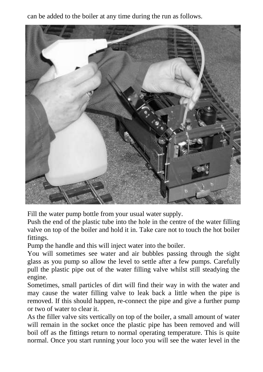can be added to the boiler at any time during the run as follows.



Fill the water pump bottle from your usual water supply.

Push the end of the plastic tube into the hole in the centre of the water filling valve on top of the boiler and hold it in. Take care not to touch the hot boiler fittings.

Pump the handle and this will inject water into the boiler.

You will sometimes see water and air bubbles passing through the sight glass as you pump so allow the level to settle after a few pumps. Carefully pull the plastic pipe out of the water filling valve whilst still steadying the engine.

Sometimes, small particles of dirt will find their way in with the water and may cause the water filling valve to leak back a little when the pipe is removed. If this should happen, re-connect the pipe and give a further pump or two of water to clear it.

As the filler valve sits vertically on top of the boiler, a small amount of water will remain in the socket once the plastic pipe has been removed and will boil off as the fittings return to normal operating temperature. This is quite normal. Once you start running your loco you will see the water level in the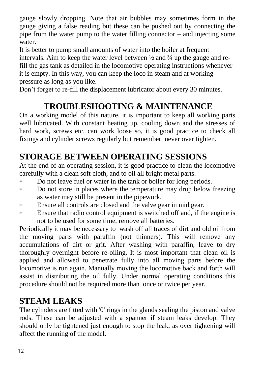gauge slowly dropping. Note that air bubbles may sometimes form in the gauge giving a false reading but these can be pushed out by connecting the pipe from the water pump to the water filling connector – and injecting some water.

It is better to pump small amounts of water into the boiler at frequent intervals. Aim to keep the water level between ½ and ¾ up the gauge and refill the gas tank as detailed in the locomotive operating instructions whenever it is empty. In this way, you can keep the loco in steam and at working pressure as long as you like.

Don't forget to re-fill the displacement lubricator about every 30 minutes.

## **TROUBLESHOOTING & MAINTENANCE**

On a working model of this nature, it is important to keep all working parts well lubricated. With constant heating up, cooling down and the stresses of hard work, screws etc. can work loose so, it is good practice to check all fixings and cylinder screws regularly but remember, never over tighten.

## **STORAGE BETWEEN OPERATING SESSIONS**

At the end of an operating session, it is good practice to clean the locomotive carefully with a clean soft cloth, and to oil all bright metal parts.

- Do not leave fuel or water in the tank or boiler for long periods.  $\ast$
- Do not store in places where the temperature may drop below freezing  $\ast$ as water may still be present in the pipework.
- Ensure all controls are closed and the valve gear in mid gear.  $\ast$
- Ensure that radio control equipment is switched off and, if the engine is \* not to be used for some time, remove all batteries.

Periodically it may be necessary to wash off all traces of dirt and old oil from the moving parts with paraffin (not thinners). This will remove any accumulations of dirt or grit. After washing with paraffin, leave to dry thoroughly overnight before re-oiling. It is most important that clean oil is applied and allowed to penetrate fully into all moving parts before the locomotive is run again. Manually moving the locomotive back and forth will assist in distributing the oil fully. Under normal operating conditions this procedure should not be required more than once or twice per year.

#### **STEAM LEAKS**

The cylinders are fitted with '0' rings in the glands sealing the piston and valve rods. These can be adjusted with a spanner if steam leaks develop. They should only be tightened just enough to stop the leak, as over tightening will affect the running of the model.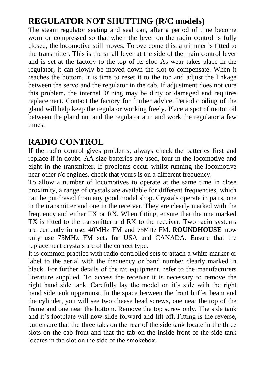## **REGULATOR NOT SHUTTING (R/C models)**

The steam regulator seating and seal can, after a period of time become worn or compressed so that when the lever on the radio control is fully closed, the locomotive still moves. To overcome this, a trimmer is fitted to the transmitter. This is the small lever at the side of the main control lever and is set at the factory to the top of its slot. As wear takes place in the regulator, it can slowly be moved down the slot to compensate. When it reaches the bottom, it is time to reset it to the top and adjust the linkage between the servo and the regulator in the cab. If adjustment does not cure this problem, the internal '0' ring may be dirty or damaged and requires replacement. Contact the factory for further advice. Periodic oiling of the gland will help keep the regulator working freely. Place a spot of motor oil between the gland nut and the regulator arm and work the regulator a few times.

#### **RADIO CONTROL**

If the radio control gives problems, always check the batteries first and replace if in doubt. AA size batteries are used, four in the locomotive and eight in the transmitter. If problems occur whilst running the locomotive near other r/c engines, check that yours is on a different frequency.

To allow a number of locomotives to operate at the same time in close proximity, a range of crystals are available for different frequencies, which can be purchased from any good model shop. Crystals operate in pairs, one in the transmitter and one in the receiver. They are clearly marked with the frequency and either TX or RX. When fitting, ensure that the one marked TX is fitted to the transmitter and RX to the receiver. Two radio systems are currently in use, 40MHz FM and 75MHz FM. **ROUNDHOUSE** now only use 75MHz FM sets for USA and CANADA. Ensure that the replacement crystals are of the correct type.

It is common practice with radio controlled sets to attach a white marker or label to the aerial with the frequency or band number clearly marked in black. For further details of the  $r/c$  equipment, refer to the manufacturers literature supplied. To access the receiver it is necessary to remove the right hand side tank. Carefully lay the model on it's side with the right hand side tank uppermost. In the space between the front buffer beam and the cylinder, you will see two cheese head screws, one near the top of the frame and one near the bottom. Remove the top screw only. The side tank and it's footplate will now slide forward and lift off. Fitting is the reverse, but ensure that the three tabs on the rear of the side tank locate in the three slots on the cab front and that the tab on the inside front of the side tank locates in the slot on the side of the smokebox.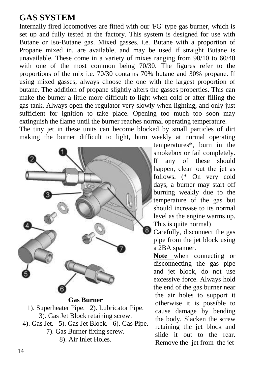#### **GAS SYSTEM**

Internally fired locomotives are fitted with our 'FG' type gas burner, which is set up and fully tested at the factory. This system is designed for use with Butane or Iso-Butane gas. Mixed gasses, i.e. Butane with a proportion of Propane mixed in, are available, and may be used if straight Butane is unavailable. These come in a variety of mixes ranging from 90/10 to 60/40 with one of the most common being 70/30. The figures refer to the proportions of the mix i.e. 70/30 contains 70% butane and 30% propane. If using mixed gasses, always choose the one with the largest proportion of butane. The addition of propane slightly alters the gasses properties. This can make the burner a little more difficult to light when cold or after filling the gas tank. Always open the regulator very slowly when lighting, and only just sufficient for ignition to take place. Opening too much too soon may extinguish the flame until the burner reaches normal operating temperature.

The tiny jet in these units can become blocked by small particles of dirt making the burner difficult to light, burn weakly at normal operating



**Gas Burner** 1). Superheater Pipe. 2). Lubricator Pipe. 3). Gas Jet Block retaining screw. 4). Gas Jet. 5). Gas Jet Block. 6). Gas Pipe. 7). Gas Burner fixing screw. 8). Air Inlet Holes.

temperatures\*, burn in the smokebox or fail completely. If any of these should happen, clean out the jet as follows. (\* On very cold days, a burner may start off burning weakly due to the temperature of the gas but should increase to its normal level as the engine warms up. This is quite normal)

Carefully, disconnect the gas pipe from the jet block using a 2BA spanner.

**Note** when connecting or disconnecting the gas pipe and jet block, do not use excessive force. Always hold the end of the gas burner near the air holes to support it otherwise it is possible to cause damage by bending the body. Slacken the screw retaining the jet block and slide it out to the rear. Remove the jet from the jet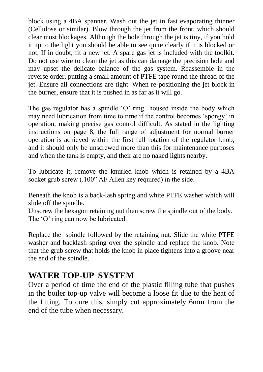block using a 4BA spanner. Wash out the jet in fast evaporating thinner (Cellulose or similar). Blow through the jet from the front, which should clear most blockages. Although the hole through the jet is tiny, if you hold it up to the light you should be able to see quite clearly if it is blocked or not. If in doubt, fit a new jet. A spare gas jet is included with the toolkit. Do not use wire to clean the jet as this can damage the precision hole and may upset the delicate balance of the gas system. Reassemble in the reverse order, putting a small amount of PTFE tape round the thread of the jet. Ensure all connections are tight. When re-positioning the jet block in the burner, ensure that it is pushed in as far as it will go.

The gas regulator has a spindle 'O' ring housed inside the body which may need lubrication from time to time if the control becomes 'spongy' in operation, making precise gas control difficult. As stated in the lighting instructions on page 8, the full range of adjustment for normal burner operation is achieved within the first full rotation of the regulator knob, and it should only be unscrewed more than this for maintenance purposes and when the tank is empty, and their are no naked lights nearby.

To lubricate it, remove the knurled knob which is retained by a 4BA socket grub screw (.100" AF Allen key required) in the side.

Beneath the knob is a back-lash spring and white PTFE washer which will slide off the spindle.

Unscrew the hexagon retaining nut then screw the spindle out of the body. The 'O' ring can now be lubricated.

Replace the spindle followed by the retaining nut. Slide the white PTFE washer and backlash spring over the spindle and replace the knob. Note that the grub screw that holds the knob in place tightens into a groove near the end of the spindle.

#### **WATER TOP-UP SYSTEM**

Over a period of time the end of the plastic filling tube that pushes in the boiler top-up valve will become a loose fit due to the heat of the fitting. To cure this, simply cut approximately 6mm from the end of the tube when necessary.